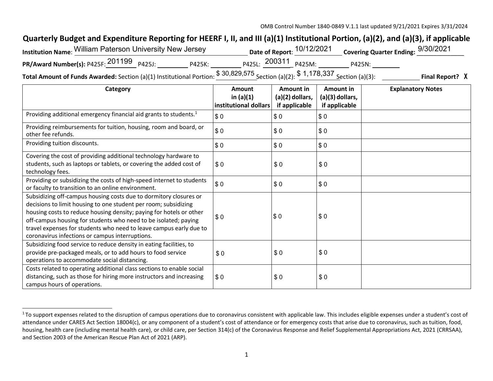## **Quarterly Budget and Expenditure Reporting for HEERF I, II, and III (a)(1) Institutional Portion, (a)(2), and (a)(3), if applicable**

| <b>Institution Name: William Paterson University New Jersey</b> |        |                | Date of Report: $\frac{10/12/2021}{200}$ Covering Quarter Ending: $\frac{9/30/2021}{200}$ |        |  |
|-----------------------------------------------------------------|--------|----------------|-------------------------------------------------------------------------------------------|--------|--|
| PR/Award Number(s): P425F: 201199 P425J:                        | P425K: |                | <sub>P425L:</sub> 200311 <sub>P425M:</sub>                                                | P425N: |  |
|                                                                 |        | $C$ 30.820.575 | <b>C 1 170 227</b>                                                                        |        |  |

**Total Amount of Funds Awarded:** Section (a)(1) Institutional Portion: \$ 30,829,575 Section (a)(2): \$ 1,178,337 Section (a)(3): **Final Report?** <sup>X</sup>

| Category                                                                                                                                                                                                                                                                                                                                                                                                | Amount<br>in $(a)(1)$<br>institutional dollars | Amount in<br>$(a)(2)$ dollars,<br>if applicable | Amount in<br>(a)(3) dollars,<br>if applicable | <b>Explanatory Notes</b> |
|---------------------------------------------------------------------------------------------------------------------------------------------------------------------------------------------------------------------------------------------------------------------------------------------------------------------------------------------------------------------------------------------------------|------------------------------------------------|-------------------------------------------------|-----------------------------------------------|--------------------------|
| Providing additional emergency financial aid grants to students. <sup>1</sup>                                                                                                                                                                                                                                                                                                                           | \$0                                            | \$0                                             | \$0                                           |                          |
| Providing reimbursements for tuition, housing, room and board, or<br>other fee refunds.                                                                                                                                                                                                                                                                                                                 | \$0                                            | \$0                                             | \$0                                           |                          |
| Providing tuition discounts.                                                                                                                                                                                                                                                                                                                                                                            | \$0                                            | \$0                                             | \$0                                           |                          |
| Covering the cost of providing additional technology hardware to<br>students, such as laptops or tablets, or covering the added cost of<br>technology fees.                                                                                                                                                                                                                                             | \$0                                            | \$0                                             | \$0                                           |                          |
| Providing or subsidizing the costs of high-speed internet to students<br>or faculty to transition to an online environment.                                                                                                                                                                                                                                                                             | \$0                                            | \$0                                             | \$0                                           |                          |
| Subsidizing off-campus housing costs due to dormitory closures or<br>decisions to limit housing to one student per room; subsidizing<br>housing costs to reduce housing density; paying for hotels or other<br>off-campus housing for students who need to be isolated; paying<br>travel expenses for students who need to leave campus early due to<br>coronavirus infections or campus interruptions. | \$0                                            | \$0                                             | \$0                                           |                          |
| Subsidizing food service to reduce density in eating facilities, to<br>provide pre-packaged meals, or to add hours to food service<br>operations to accommodate social distancing.                                                                                                                                                                                                                      | \$0                                            | \$0                                             | \$0                                           |                          |
| Costs related to operating additional class sections to enable social<br>distancing, such as those for hiring more instructors and increasing<br>campus hours of operations.                                                                                                                                                                                                                            | \$0                                            | \$0                                             | \$0                                           |                          |

 $1$ To support expenses related to the disruption of campus operations due to coronavirus consistent with applicable law. This includes eligible expenses under a student's cost of attendance under CARES Act Section 18004(c), or any component of a student's cost of attendance or for emergency costs that arise due to coronavirus, such as tuition, food, housing, health care (including mental health care), or child care, per Section 314(c) of the Coronavirus Response and Relief Supplemental Appropriations Act, 2021 (CRRSAA), and Section 2003 of the American Rescue Plan Act of 2021 (ARP).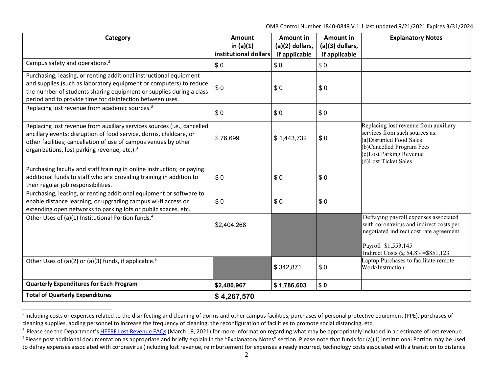OMB Control Number 1840-0849 V.1.1 last updated 9/21/2021 Expires 3/31/2024

| Category                                                                                                                                                                                                                                                                     | Amount<br>in $(a)(1)$ | <b>Amount in</b><br>(a)(2) dollars, | Amount in<br>(a)(3) dollars, | <b>Explanatory Notes</b>                                                                                                                                                            |
|------------------------------------------------------------------------------------------------------------------------------------------------------------------------------------------------------------------------------------------------------------------------------|-----------------------|-------------------------------------|------------------------------|-------------------------------------------------------------------------------------------------------------------------------------------------------------------------------------|
|                                                                                                                                                                                                                                                                              | institutional dollars | if applicable                       | if applicable                |                                                                                                                                                                                     |
| Campus safety and operations. <sup>2</sup>                                                                                                                                                                                                                                   | \$0                   | \$0                                 | \$0                          |                                                                                                                                                                                     |
| Purchasing, leasing, or renting additional instructional equipment<br>and supplies (such as laboratory equipment or computers) to reduce<br>the number of students sharing equipment or supplies during a class<br>period and to provide time for disinfection between uses. | \$0                   | \$0                                 | \$0                          |                                                                                                                                                                                     |
| Replacing lost revenue from academic sources. <sup>3</sup>                                                                                                                                                                                                                   | \$0                   | \$0                                 | \$0                          |                                                                                                                                                                                     |
| Replacing lost revenue from auxiliary services sources (i.e., cancelled<br>ancillary events; disruption of food service, dorms, childcare, or<br>other facilities; cancellation of use of campus venues by other<br>organizations, lost parking revenue, etc.). <sup>3</sup> | \$76,699              | \$1,443,732                         | \$0                          | Replacing lost revenue from auxiliary<br>services from such sources as:<br>(a) Disrupted Food Sales<br>(b)Cancelled Program Fees<br>(c)Lost Parking Revenue<br>(d)Lost Ticket Sales |
| Purchasing faculty and staff training in online instruction; or paying<br>additional funds to staff who are providing training in addition to<br>their regular job responsibilities.                                                                                         | \$0                   | \$0                                 | \$0                          |                                                                                                                                                                                     |
| Purchasing, leasing, or renting additional equipment or software to<br>enable distance learning, or upgrading campus wi-fi access or<br>extending open networks to parking lots or public spaces, etc.                                                                       | \$0                   | \$0                                 | \$0                          |                                                                                                                                                                                     |
| Other Uses of (a)(1) Institutional Portion funds. <sup>4</sup>                                                                                                                                                                                                               | \$2,404,268           |                                     |                              | Defraying payroll expenses associated<br>with coronavirus and indirect costs per<br>negotiated indirect cost rate agreement<br>Payroll=\$1,553,145                                  |
|                                                                                                                                                                                                                                                                              |                       |                                     |                              | Indirect Costs @ 54.8%=\$851,123                                                                                                                                                    |
| Other Uses of (a)(2) or (a)(3) funds, if applicable. <sup>5</sup>                                                                                                                                                                                                            |                       | \$342,871                           | \$0                          | Laptop Purchases to facilitate remote<br>Work/Instruction                                                                                                                           |
| <b>Quarterly Expenditures for Each Program</b>                                                                                                                                                                                                                               | \$2,480,967           | \$1,786,603                         | \$0                          |                                                                                                                                                                                     |
| <b>Total of Quarterly Expenditures</b>                                                                                                                                                                                                                                       | \$4,267,570           |                                     |                              |                                                                                                                                                                                     |

<sup>&</sup>lt;sup>2</sup> Including costs or expenses related to the disinfecting and cleaning of dorms and other campus facilities, purchases of personal protective equipment (PPE), purchases of cleaning supplies, adding personnel to increase the frequency of cleaning, the reconfiguration of facilities to promote social distancing, etc.

<sup>&</sup>lt;sup>3</sup> Please see the Department's HEERF Lost Revenue FAQs (March 19, 2021) for more information regarding what may be appropriately included in an estimate of lost revenue.

<sup>&</sup>lt;sup>4</sup> Please post additional documentation as appropriate and briefly explain in the "Explanatory Notes" section. Please note that funds for (a)(1) Institutional Portion may be used to defray expenses associated with coronavirus (including lost revenue, reimbursement for expenses already incurred, technology costs associated with a transition to distance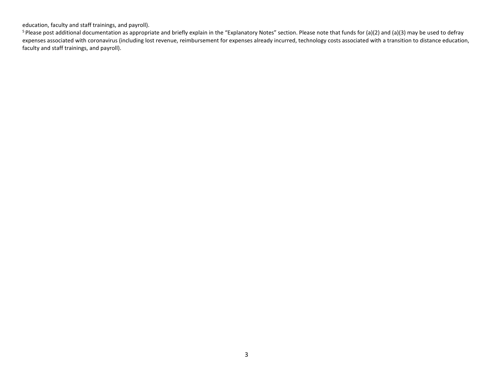education, faculty and staff trainings, and payroll).

<sup>5</sup> Please post additional documentation as appropriate and briefly explain in the "Explanatory Notes" section. Please note that funds for (a)(2) and (a)(3) may be used to defray expenses associated with coronavirus (including lost revenue, reimbursement for expenses already incurred, technology costs associated with a transition to distance education, faculty and staff trainings, and payroll).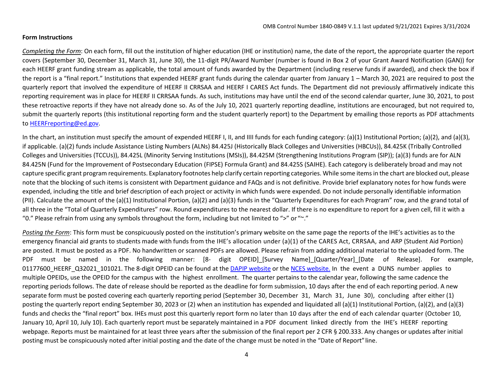## **Form Instructions**

*Completing the Form*: On each form, fill out the institution of higher education (IHE or institution) name, the date of the report, the appropriate quarter the report covers (September 30, December 31, March 31, June 30), the 11-digit PR/Award Number (number is found in Box 2 of your Grant Award Notification (GAN)) for each HEERF grant funding stream as applicable, the total amount of funds awarded by the Department (including reserve funds if awarded), and check the box if the report is a "final report." Institutions that expended HEERF grant funds during the calendar quarter from January 1 – March 30, 2021 are required to post the quarterly report that involved the expenditure of HEERF II CRRSAA and HEERF I CARES Act funds. The Department did not previously affirmatively indicate this reporting requirement was in place for HEERF II CRRSAA funds. As such, institutions may have until the end of the second calendar quarter, June 30, 2021, to post these retroactive reports if they have not already done so. As of the July 10, 2021 quarterly reporting deadline, institutions are encouraged, but not required to, submit the quarterly reports (this institutional reporting form and the student quarterly report) to the Department by emailing those reports as PDF attachments to [HEERFreporting@ed.gov.](mailto:HEERFreporting@ed.gov)

In the chart, an institution must specify the amount of expended HEERF I, II, and IIII funds for each funding category: (a)(1) Institutional Portion; (a)(2), and (a)(3), if applicable. (a)(2) funds include Assistance Listing Numbers (ALNs) 84.425J (Historically Black Colleges and Universities (HBCUs)), 84.425K (Tribally Controlled Colleges and Universities (TCCUs)), 84.425L (Minority Serving Institutions (MSIs)), 84.425M (Strengthening Institutions Program (SIP)); (a)(3) funds are for ALN 84.425N (Fund for the Improvement of Postsecondary Education (FIPSE) Formula Grant) and 84.425S (SAIHE). Each category is deliberately broad and may not capture specific grant program requirements. Explanatory footnotes help clarify certain reporting categories. While some itemsin the chart are blocked out, please note that the blocking of such items is consistent with Department guidance and FAQs and is not definitive. Provide brief explanatory notes for how funds were expended, including the title and brief description of each project or activity in which funds were expended. Do not include personally identifiable information (PII). Calculate the amount of the (a)(1) Institutional Portion, (a)(2) and (a)(3) funds in the "Quarterly Expenditures for each Program" row, and the grand total of all three in the "Total of Quarterly Expenditures" row. Round expenditures to the nearest dollar. If there is no expenditure to report for a given cell, fill it with a "0." Please refrain from using any symbols throughout the form, including but not limited to ">" or "~."

*Posting the Form*: This form must be conspicuously posted on the institution's primary website on the same page the reports of the IHE's activities as to the emergency financial aid grants to students made with funds from the IHE's allocation under (a)(1) of the CARES Act, CRRSAA, and ARP (Student Aid Portion) are posted. It must be posted as a PDF. No handwritten or scanned PDFs are allowed. Please refrain from adding additional material to the uploaded form. The PDF must be named in the following manner: [8- digit OPEID][Survey Name][Quarter/Year][Date of Release]. For example, 01177600 HEERF Q32021 101021. The 8-digit OPEID can be found at the [DAPIP website](https://ope.ed.gov/dapip/%23/home) or the [NCES website.](https://nces.ed.gov/collegenavigator/) In the event a DUNS number applies to multiple OPEIDs, use the OPEID for the campus with the highest enrollment. The quarter pertains to the calendar year, following the same cadence the reporting periods follows. The date of release should be reported as the deadline for form submission, 10 days after the end of each reporting period. A new separate form must be posted covering each quarterly reporting period (September 30, December 31, March 31, June 30), concluding after either (1) posting the quarterly report ending September 30, 2023 or (2) when an institution has expended and liquidated all (a)(1) Institutional Portion, (a)(2), and (a)(3) funds and checks the "final report" box. IHEs must post this quarterly report form no later than 10 days after the end of each calendar quarter (October 10, January 10, April 10, July 10). Each quarterly report must be separately maintained in a PDF document linked directly from the IHE's HEERF reporting webpage. Reports must be maintained for at least three years after the submission of the final report per 2 CFR § 200.333. Any changes or updates after initial posting must be conspicuously noted after initial posting and the date of the change must be noted in the "Date of Report" line.